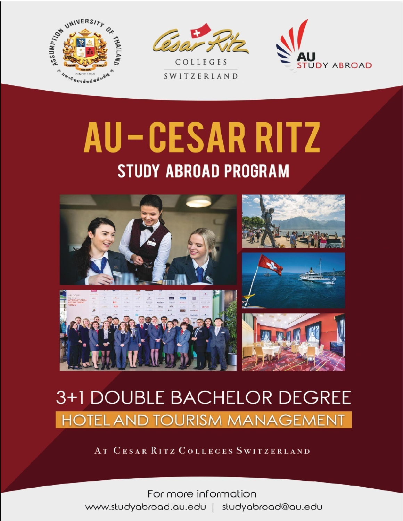



SWITZERLAND



# AU-CESAR RITZ **STUDY ABROAD PROGRAM**



## 3+1 DOUBLE BACHELOR DEGREE **HOTEL AND TOURISM MANAGEMENT**

AT CESAR RITZ COLLEGES SWITZERLAND

For more information www.studyabroad.au.edu | studyabroad@au.edu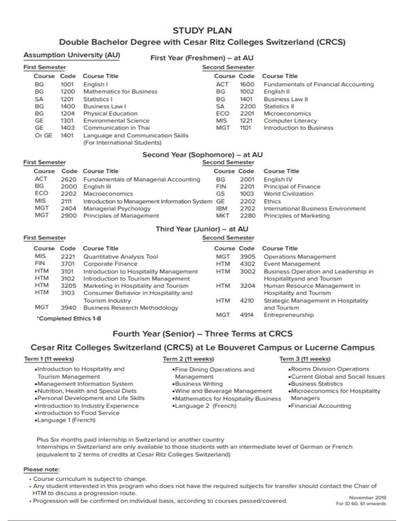## **STUDY PLAN**

#### Double Bachelor Degree with Cesar Ritz Colleges Switzerland (CRCS)

| <b>Assumption University (AU)</b> |      |                                                                   | First Year (Freshmen) - at AU |      |                                             |
|-----------------------------------|------|-------------------------------------------------------------------|-------------------------------|------|---------------------------------------------|
| <b>First Semester</b>             |      |                                                                   | <b>Second Semester</b>        |      |                                             |
|                                   |      | Course Code Course Title                                          | <b>Course Code</b>            |      | <b>Course Title</b>                         |
| BG                                | 1001 | English I                                                         | <b>ACT</b>                    | 1600 | <b>Fundamentals of Financial Accounting</b> |
| BG                                | 1200 | <b>Mathematics for Business</b>                                   | BG                            | 1002 | English II                                  |
| <b>SA</b>                         | 1201 | Statistics I                                                      | BG                            | 1401 | <b>Business Law II</b>                      |
| BG                                | 1400 | Business Law I                                                    | SA                            | 2200 | Statistics II                               |
| BG                                | 1204 | <b>Physical Education</b>                                         | ECO                           | 2201 | <b>Microeconomics</b>                       |
| <b>GE</b>                         | 1301 | <b>Environmental Science</b>                                      | MIS                           | 1221 | <b>Computer Literacy</b>                    |
| GE                                | 1403 | Communication in Thai                                             | <b>MGT</b>                    | 1101 | <b>Introduction to Business</b>             |
| Or GE                             | 1401 | Language and Communication Skills<br>(For International Students) |                               |      |                                             |

| <b>First Semester</b> |      | <b>Second Semester</b>                           |                    |      |                                           |  |
|-----------------------|------|--------------------------------------------------|--------------------|------|-------------------------------------------|--|
| Course                |      | Code Course Title                                | <b>Course Code</b> |      | <b>Course Title</b>                       |  |
| ACT                   |      | 2620 Fundamentals of Managerial Accounting       | BG                 | 2001 | English <sub>IV</sub>                     |  |
| BG                    | 2000 | English III                                      | <b>FIN</b>         | 2201 | <b>Principal of Finance</b>               |  |
| ECO                   | 2202 | Macroeconomics                                   | GS                 | 1003 | <b>World Civilization</b>                 |  |
| <b>MIS</b>            | 2111 | Introduction to Management Information System GE |                    | 2202 | <b>Ethics</b>                             |  |
| MGT                   | 2404 | Managerial Psychology                            | <b>IBM</b>         | 2702 | <b>International Business Environment</b> |  |
| MGT                   | 2900 | Principles of Management                         | <b>MKT</b>         | 2280 | <b>Principles of Marketing</b>            |  |

#### Second Year (Sophomore) - at AU

#### Third Year (Junior) - at AU **Cocond Competer**

| <b>First Semester</b> |      |                                        | <b>Second Semester</b> |      |                                             |  |
|-----------------------|------|----------------------------------------|------------------------|------|---------------------------------------------|--|
| Course                | Code | <b>Course Title</b>                    | <b>Course Code</b>     |      | <b>Course Title</b>                         |  |
| <b>MIS</b>            | 2221 | Quantitative Analysis Tool             | <b>MGT</b>             | 3905 | <b>Operations Management</b>                |  |
| <b>FIN</b>            | 3701 | <b>Corporate Finance</b>               | <b>HTM</b>             | 4302 | <b>Event Management</b>                     |  |
| <b>HTM</b>            | 3101 | Introduction to Hospitality Management | <b>HTM</b>             | 3002 | <b>Business Operation and Leadership in</b> |  |
| <b>HTM</b>            | 3102 | Introduction to Tourism Management     |                        |      | Hospitalityand and Tourism                  |  |
| <b>HTM</b>            | 3205 | Marketing in Hospitality and Tourism   | <b>HTM</b>             | 3204 | Human Resource Management in                |  |
| <b>HTM</b>            | 3103 | Consumer Behavior in Hospitality and   |                        |      | <b>Hospitality and Tourism</b>              |  |
|                       |      | <b>Tourism Industry</b>                | <b>HTM</b>             | 4210 | Strategic Management in Hospitality         |  |
| <b>MGT</b>            | 3940 | <b>Business Research Methodology</b>   |                        |      | and Tourism                                 |  |
| *Completed Ethics 1-8 |      |                                        | <b>MGT</b>             | 4914 | Entrepreneurship                            |  |

### Fourth Year (Senior) - Three Terms at CRCS

#### Cesar Ritz Colleges Switzerland (CRCS) at Le Bouveret Campus or Lucerne Campus

#### Term 1 (11 weeks)

- Term 2 (11 weeks)
- «Introduction to Hospitality and **Tourism Management** 
	-
- .Management Information System
- .Nutrition, Health and Special Diets
- .Personal Development and Life Skills
- .Introduction to Industry Experience
- .Introduction to Food Service
- •Language 1 (French)
- - . Fine Dining Operations and Management
	- .Business Writing
	- .Wine and Beverage Management
	- .Mathematics for Hospitality Business Managers
	- •Language 2 (French)

#### Term 3 (11 weeks)

- «Rooms Division Operations
- . Current Global and Socail Issues
- **.Business Statistics**
- .Microeconomics for Hospitality
- . Financial Accounting

Plus Six months paid internship in Switzerland or another country Internships in Switzerland are only available to those students with an intermediate level of German or French (equivalent to 2 terms of credits at Cesar Ritz Colleges Switzerland)

#### Please note:

- Course curriculum is subject to change.
- . Any student interested in this program who does not have the required subjects for transfer should contact the Chair of HTM to discuss a progression route.
- · Progression will be confirmed on individual basis, according to courses passed/covered.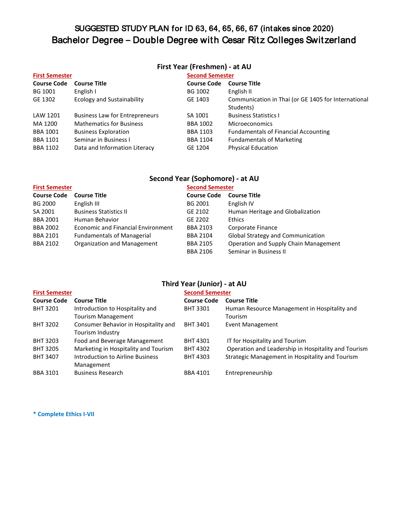## SUGGESTED STUDY PLAN for ID 63, 64, 65, 66, 67 (intakes since 2020) Bachelor Degree **–** Double Degree with Cesar Ritz Colleges Switzerland

#### **First Year (Freshmen) - at AU**

| <b>First Semester</b> |                                       |                    | <b>Second Semester</b>                              |  |  |
|-----------------------|---------------------------------------|--------------------|-----------------------------------------------------|--|--|
| <b>Course Code</b>    | <b>Course Title</b>                   | <b>Course Code</b> | <b>Course Title</b>                                 |  |  |
| BG 1001               | English I                             | BG 1002            | English II                                          |  |  |
| GE 1302               | <b>Ecology and Sustainability</b>     | GE 1403            | Communication in Thai (or GE 1405 for International |  |  |
|                       |                                       |                    | Students)                                           |  |  |
| LAW 1201              | <b>Business Law for Entrepreneurs</b> | SA 1001            | <b>Business Statistics I</b>                        |  |  |
| MA 1200               | <b>Mathematics for Business</b>       | <b>BBA 1002</b>    | <b>Microeconomics</b>                               |  |  |
| <b>BBA 1001</b>       | <b>Business Exploration</b>           | <b>BBA 1103</b>    | <b>Fundamentals of Financial Accounting</b>         |  |  |
| <b>BBA 1101</b>       | Seminar in Business I                 | <b>BBA 1104</b>    | <b>Fundamentals of Marketing</b>                    |  |  |
| <b>BBA 1102</b>       | Data and Information Literacy         | GE 1204            | <b>Physical Education</b>                           |  |  |

### **Second Year (Sophomore) - at AU**

| <b>First Semester</b> |                                    | <b>Second Semester</b> |                                          |  |
|-----------------------|------------------------------------|------------------------|------------------------------------------|--|
| <b>Course Code</b>    | <b>Course Title</b>                | <b>Course Code</b>     | <b>Course Title</b>                      |  |
| <b>BG 2000</b>        | English III                        | BG 2001                | English IV                               |  |
| SA 2001               | <b>Business Statistics II</b>      | GE 2102                | Human Heritage and Globalization         |  |
| <b>BBA 2001</b>       | Human Behavior                     | GE 2202                | Ethics                                   |  |
| <b>BBA 2002</b>       | Economic and Financial Environment | <b>BBA 2103</b>        | Corporate Finance                        |  |
| <b>BBA 2101</b>       | <b>Fundamentals of Managerial</b>  | <b>BBA 2104</b>        | <b>Global Strategy and Communication</b> |  |
| <b>BBA 2102</b>       | Organization and Management        | <b>BBA 2105</b>        | Operation and Supply Chain Management    |  |
|                       |                                    | <b>BBA 2106</b>        | Seminar in Business II                   |  |

#### **Third Year (Junior) - at AU**

| <b>First Semester</b> |                                      | <b>Second Semester</b> |                                                     |
|-----------------------|--------------------------------------|------------------------|-----------------------------------------------------|
| <b>Course Code</b>    | <b>Course Title</b>                  | <b>Course Code</b>     | <b>Course Title</b>                                 |
| <b>BHT 3201</b>       | Introduction to Hospitality and      | <b>BHT 3301</b>        | Human Resource Management in Hospitality and        |
|                       | Tourism Management                   |                        | Tourism                                             |
| <b>BHT 3202</b>       | Consumer Behavior in Hospitality and | <b>BHT 3401</b>        | Event Management                                    |
|                       | Tourism Industry                     |                        |                                                     |
| <b>BHT 3203</b>       | Food and Beverage Management         | <b>BHT 4301</b>        | IT for Hospitality and Tourism                      |
| <b>BHT 3205</b>       | Marketing in Hospitality and Tourism | <b>BHT 4302</b>        | Operation and Leadership in Hospitality and Tourism |
| <b>BHT 3407</b>       | Introduction to Airline Business     | <b>BHT 4303</b>        | Strategic Management in Hospitality and Tourism     |
|                       | Management                           |                        |                                                     |
| <b>BBA 3101</b>       | <b>Business Research</b>             | <b>BBA 4101</b>        | Entrepreneurship                                    |

**\* Complete Ethics I-VII**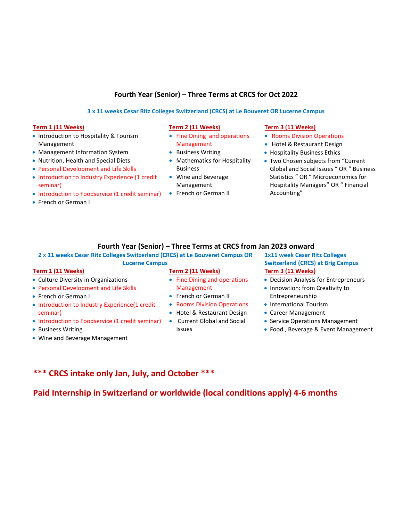#### **Fourth Year (Senior) – Three Terms at CRCS for Oct 2022**

#### **3 x 11 weeks Cesar Ritz Colleges Switzerland (CRCS) at Le Bouveret OR Lucerne Campus**

#### **Term 1 (11 Weeks) Term 2 (11 Weeks) Term 3 (11 Weeks)**

- Introduction to Hospitality & Tourism Management
- Management Information System
- Nutrition, Health and Special Diets
- Personal Development and Life Skills
- Introduction to Industry Experience (1 credit seminar)
- Introduction to Foodservice (1 credit seminar)
- French or German I

- Fine Dining and operations Management
- Business Writing
- Mathematics for Hospitality Business
- Wine and Beverage Management
- French or German II

- Rooms Division Operations
- Hotel & Restaurant Design
- Hospitality Business Ethics
- Two Chosen subjects from "Current Global and Social Issues " OR " Business Statistics " OR " Microeconomics for Hospitality Managers" OR " Financial Accounting"

#### **Fourth Year (Senior) – Three Terms at CRCS from Jan 2023 onward**

#### **2 x 11 weeks Cesar Ritz Colleges Switzerland (CRCS) at Le Bouveret Campus OR Lucerne Campus**

- Culture Diversity in Organizations
- Personal Development and Life Skills
- French or German I
- Introduction to Industry Experience(1 credit seminar)
- Introduction to Foodservice (1 credit seminar)
- Business Writing
- Wine and Beverage Management

- Fine Dining and operations Management
- French or German II
- Rooms Division Operations
- Hotel & Restaurant Design
- Current Global and Social Issues

#### **1x11 week Cesar Ritz Colleges Switzerland (CRCS) at Brig Campus Term 1 (11 Weeks) Term 2 (11 Weeks) Term 3 (11 Weeks)**

- Decision Analysis for Entrepreneurs
- Innovation: from Creativity to Entrepreneurship
- International Tourism
- Career Management
- Service Operations Management
- Food , Beverage & Event Management

### **\*\*\* CRCS intake only Jan, July, and October \*\*\***

**Paid Internship in Switzerland or worldwide (local conditions apply) 4-6 months**